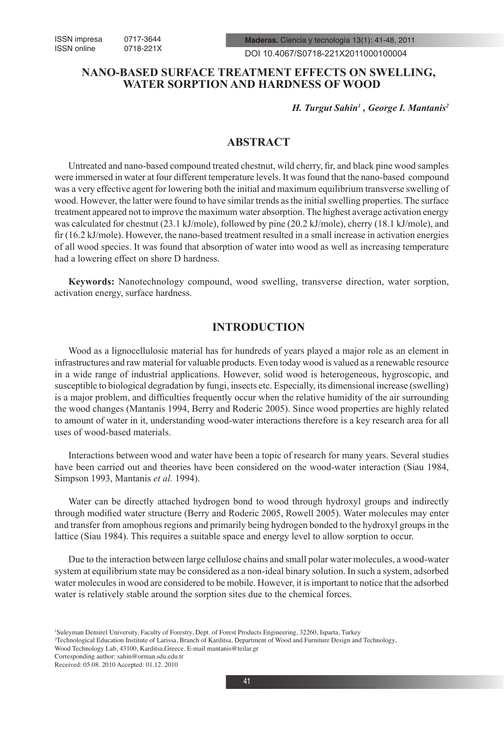DOI 10.4067/S0718-221X2011000100004

## **NANO-BASED SURFACE TREATMENT EFFECTS ON SWELLING, WATER SORPTION AND HARDNESS OF WOOD**

*H. Turgut Sahin1 , George I. Mantanis2*

# **ABSTRACT**

Untreated and nano-based compound treated chestnut, wild cherry, fir, and black pine wood samples were immersed in water at four different temperature levels. It was found that the nano-based compound was a very effective agent for lowering both the initial and maximum equilibrium transverse swelling of wood. However, the latter were found to have similar trends as the initial swelling properties. The surface treatment appeared not to improve the maximum water absorption. The highest average activation energy was calculated for chestnut (23.1 kJ/mole), followed by pine (20.2 kJ/mole), cherry (18.1 kJ/mole), and fir (16.2 kJ/mole). However, the nano-based treatment resulted in a small increase in activation energies of all wood species. It was found that absorption of water into wood as well as increasing temperature had a lowering effect on shore D hardness.

**Keywords:** Nanotechnology compound, wood swelling, transverse direction, water sorption, activation energy, surface hardness.

### **INTRODUCTION**

Wood as a lignocellulosic material has for hundreds of years played a major role as an element in infrastructures and raw material for valuable products. Even today wood is valued as a renewable resource in a wide range of industrial applications. However, solid wood is heterogeneous, hygroscopic, and susceptible to biological degradation by fungi, insects etc. Especially, its dimensional increase (swelling) is a major problem, and difficulties frequently occur when the relative humidity of the air surrounding the wood changes (Mantanis 1994, Berry and Roderic 2005). Since wood properties are highly related to amount of water in it, understanding wood-water interactions therefore is a key research area for all uses of wood-based materials.

Interactions between wood and water have been a topic of research for many years. Several studies have been carried out and theories have been considered on the wood-water interaction (Siau 1984, Simpson 1993, Mantanis *et al.* 1994).

Water can be directly attached hydrogen bond to wood through hydroxyl groups and indirectly through modified water structure (Berry and Roderic 2005, Rowell 2005). Water molecules may enter and transfer from amophous regions and primarily being hydrogen bonded to the hydroxyl groups in the lattice (Siau 1984). This requires a suitable space and energy level to allow sorption to occur.

Due to the interaction between large cellulose chains and small polar water molecules, a wood-water system at equilibrium state may be considered as a non-ideal binary solution. In such a system, adsorbed water molecules in wood are considered to be mobile. However, it is important to notice that the adsorbed water is relatively stable around the sorption sites due to the chemical forces.

Wood Technology Lab, 43100, Karditsa,Greece. E-mail mantanis@teilar.gr

<sup>1</sup> Suleyman Demirel University, Faculty of Forestry, Dept. of Forest Products Engineering, 32260, Isparta, Turkey

<sup>2</sup> Technological Education Institute of Larissa, Branch of Karditsa, Department of Wood and Furniture Design and Technology,

Corresponding author: sahin@orman.sdu.edu.tr

Received: 05.08. 2010 Accepted: 01.12. 2010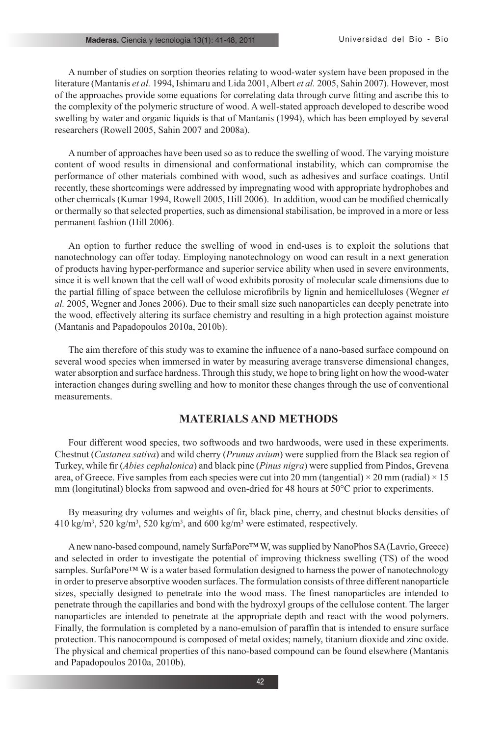#### **Maderas.** Ciencia y tecnología 13(1): 41-48, 2011

A number of studies on sorption theories relating to wood-water system have been proposed in the literature (Mantanis *et al.* 1994, Ishimaru and Lida 2001, Albert *et al.* 2005, Sahin 2007). However, most of the approaches provide some equations for correlating data through curve fitting and ascribe this to the complexity of the polymeric structure of wood. A well-stated approach developed to describe wood swelling by water and organic liquids is that of Mantanis (1994), which has been employed by several researchers (Rowell 2005, Sahin 2007 and 2008a).

Α number of approaches have been used so as to reduce the swelling of wood. The varying moisture content of wood results in dimensional and conformational instability, which can compromise the performance of other materials combined with wood, such as adhesives and surface coatings. Until recently, these shortcomings were addressed by impregnating wood with appropriate hydrophobes and other chemicals (Kumar 1994, Rowell 2005, Hill 2006). In addition, wood can be modified chemically or thermally so that selected properties, such as dimensional stabilisation, be improved in a more or less permanent fashion (Hill 2006).

An option to further reduce the swelling of wood in end-uses is to exploit the solutions that nanotechnology can offer today. Employing nanotechnology on wood can result in a next generation of products having hyper-performance and superior service ability when used in severe environments, since it is well known that the cell wall of wood exhibits porosity of molecular scale dimensions due to the partial filling of space between the cellulose microfibrils by lignin and hemicelluloses (Wegner *et al.* 2005, Wegner and Jones 2006). Due to their small size such nanoparticles can deeply penetrate into the wood, effectively altering its surface chemistry and resulting in a high protection against moisture (Mantanis and Papadopoulos 2010a, 2010b).

The aim therefore of this study was to examine the influence of a nano-based surface compound on several wood species when immersed in water by measuring average transverse dimensional changes, water absorption and surface hardness. Through this study, we hope to bring light on how the wood-water interaction changes during swelling and how to monitor these changes through the use of conventional measurements.

## **MATERIALS AND METHODS**

Four different wood species, two softwoods and two hardwoods, were used in these experiments. Chestnut (*Castanea sativa*) and wild cherry (*Prunus avium*) were supplied from the Black sea region of Turkey, while fir (*Abies cephalonica*) and black pine (*Pinus nigra*) were supplied from Pindos, Grevena area, of Greece. Five samples from each species were cut into 20 mm (tangential)  $\times$  20 mm (radial)  $\times$  15 mm (longitutinal) blocks from sapwood and oven-dried for 48 hours at 50°C prior to experiments.

By measuring dry volumes and weights of fir, black pine, cherry, and chestnut blocks densities of  $410 \text{ kg/m}^3$ , 520 kg/m<sup>3</sup>, 520 kg/m<sup>3</sup>, and 600 kg/m<sup>3</sup> were estimated, respectively.

A new nano-based compound, namely SurfaPore™ W, was supplied by NanoPhos SA (Lavrio, Greece) and selected in order to investigate the potential of improving thickness swelling (TS) of the wood samples. SurfaPore<sup>™</sup> W is a water based formulation designed to harness the power of nanotechnology in order to preserve absorptive wooden surfaces. The formulation consists of three different nanoparticle sizes, specially designed to penetrate into the wood mass. The finest nanoparticles are intended to penetrate through the capillaries and bond with the hydroxyl groups of the cellulose content. The larger nanoparticles are intended to penetrate at the appropriate depth and react with the wood polymers. Finally, the formulation is completed by a nano-emulsion of paraffin that is intended to ensure surface protection. This nanocompound is composed of metal oxides; namely, titanium dioxide and zinc oxide. The physical and chemical properties of this nano-based compound can be found elsewhere (Mantanis and Papadopoulos 2010a, 2010b).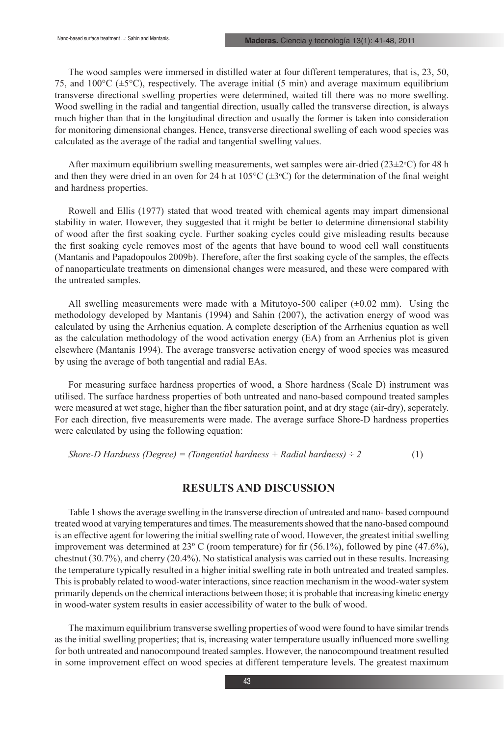The wood samples were immersed in distilled water at four different temperatures, that is, 23, 50, 75, and  $100^{\circ}$ C ( $\pm$ 5 $^{\circ}$ C), respectively. The average initial (5 min) and average maximum equilibrium transverse directional swelling properties were determined, waited till there was no more swelling. Wood swelling in the radial and tangential direction, usually called the transverse direction, is always much higher than that in the longitudinal direction and usually the former is taken into consideration for monitoring dimensional changes. Hence, transverse directional swelling of each wood species was calculated as the average of the radial and tangential swelling values.

After maximum equilibrium swelling measurements, wet samples were air-dried  $(23\pm2\degree C)$  for 48 h and then they were dried in an oven for 24 h at  $105^{\circ}C$  ( $\pm 3^{\circ}C$ ) for the determination of the final weight and hardness properties.

Rowell and Ellis (1977) stated that wood treated with chemical agents may impart dimensional stability in water. However, they suggested that it might be better to determine dimensional stability of wood after the first soaking cycle. Further soaking cycles could give misleading results because the first soaking cycle removes most of the agents that have bound to wood cell wall constituents (Mantanis and Papadopoulos 2009b). Therefore, after the first soaking cycle of the samples, the effects of nanoparticulate treatments on dimensional changes were measured, and these were compared with the untreated samples.

All swelling measurements were made with a Mitutoyo-500 caliper  $(\pm 0.02 \text{ mm})$ . Using the methodology developed by Mantanis (1994) and Sahin (2007), the activation energy of wood was calculated by using the Arrhenius equation. A complete description of the Arrhenius equation as well as the calculation methodology of the wood activation energy (EA) from an Arrhenius plot is given elsewhere (Mantanis 1994). The average transverse activation energy of wood species was measured by using the average of both tangential and radial EAs.

For measuring surface hardness properties of wood, a Shore hardness (Scale D) instrument was utilised. The surface hardness properties of both untreated and nano-based compound treated samples were measured at wet stage, higher than the fiber saturation point, and at dry stage (air-dry), seperately. For each direction, five measurements were made. The average surface Shore-D hardness properties were calculated by using the following equation:

*Shore-D Hardness (Degree) = (Tangential hardness + Radial hardness) ÷ 2* (1)

## **RESULTS AND DISCUSSION**

Table 1 shows the average swelling in the transverse direction of untreated and nano- based compound treated wood at varying temperatures and times. The measurements showed that the nano-based compound is an effective agent for lowering the initial swelling rate of wood. However, the greatest initial swelling improvement was determined at  $23^{\circ}$  C (room temperature) for fir (56.1%), followed by pine (47.6%), chestnut (30.7%), and cherry (20.4%). No statistical analysis was carried out in these results. Increasing the temperature typically resulted in a higher initial swelling rate in both untreated and treated samples. This is probably related to wood-water interactions, since reaction mechanism in the wood-water system primarily depends on the chemical interactions between those; it is probable that increasing kinetic energy in wood-water system results in easier accessibility of water to the bulk of wood.

The maximum equilibrium transverse swelling properties of wood were found to have similar trends as the initial swelling properties; that is, increasing water temperature usually influenced more swelling for both untreated and nanocompound treated samples. However, the nanocompound treatment resulted in some improvement effect on wood species at different temperature levels. The greatest maximum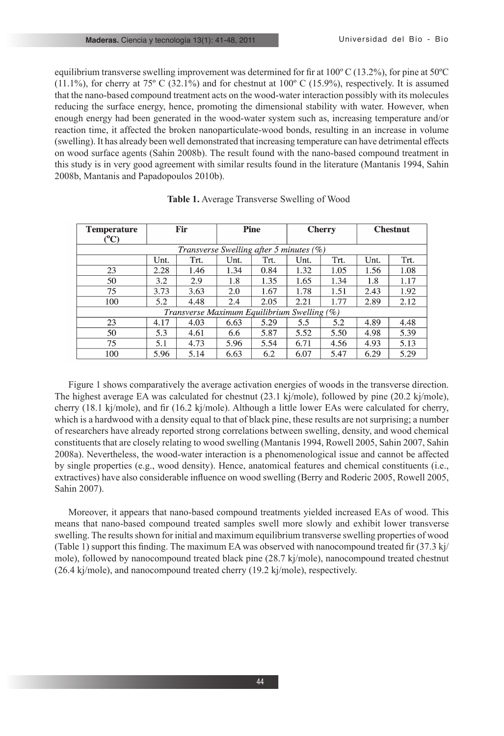equilibrium transverse swelling improvement was determined for fir at 100º C (13.2%), for pine at 50ºC  $(11.1\%)$ , for cherry at 75° C (32.1%) and for chestnut at 100° C (15.9%), respectively. It is assumed that the nano-based compound treatment acts on the wood-water interaction possibly with its molecules reducing the surface energy, hence, promoting the dimensional stability with water. However, when enough energy had been generated in the wood-water system such as, increasing temperature and/or reaction time, it affected the broken nanoparticulate-wood bonds, resulting in an increase in volume (swelling). It has already been well demonstrated that increasing temperature can have detrimental effects on wood surface agents (Sahin 2008b). The result found with the nano-based compound treatment in this study is in very good agreement with similar results found in the literature (Mantanis 1994, Sahin 2008b, Mantanis and Papadopoulos 2010b).

| <b>Temperature</b>                          | Fir  |      | <b>Pine</b> |      | <b>Cherry</b> |      | <b>Chestnut</b> |      |  |  |  |
|---------------------------------------------|------|------|-------------|------|---------------|------|-----------------|------|--|--|--|
| $(^{0}C)$                                   |      |      |             |      |               |      |                 |      |  |  |  |
| Transverse Swelling after 5 minutes (%)     |      |      |             |      |               |      |                 |      |  |  |  |
|                                             | Unt. | Trt. | Unt.        | Trt. | Unt.          | Trt. | Unt.            | Trt. |  |  |  |
| 23                                          | 2.28 | 1.46 | 1.34        | 0.84 | 1.32          | 1.05 | 1.56            | 1.08 |  |  |  |
| 50                                          | 3.2  | 2.9  | 1.8         | 1.35 | 1.65          | 1.34 | 1.8             | 1.17 |  |  |  |
| 75                                          | 3.73 | 3.63 | 2.0         | 1.67 | 1.78          | 1.51 | 2.43            | 1.92 |  |  |  |
| 100                                         | 5.2  | 4.48 | 2.4         | 2.05 | 2.21          | 1.77 | 2.89            | 2.12 |  |  |  |
| Transverse Maximum Equilibrium Swelling (%) |      |      |             |      |               |      |                 |      |  |  |  |
| 23                                          | 4.17 | 4.03 | 6.63        | 5.29 | 5.5           | 5.2  | 4.89            | 4.48 |  |  |  |
| 50                                          | 5.3  | 4.61 | 6.6         | 5.87 | 5.52          | 5.50 | 4.98            | 5.39 |  |  |  |
| 75                                          | 5.1  | 4.73 | 5.96        | 5.54 | 6.71          | 4.56 | 4.93            | 5.13 |  |  |  |
| 100                                         | 5.96 | 5.14 | 6.63        | 6.2  | 6.07          | 5.47 | 6.29            | 5.29 |  |  |  |

Figure 1 shows comparatively the average activation energies of woods in the transverse direction. The highest average EA was calculated for chestnut (23.1 kj/mole), followed by pine (20.2 kj/mole), cherry (18.1 kj/mole), and fir (16.2 kj/mole). Although a little lower EAs were calculated for cherry, which is a hardwood with a density equal to that of black pine, these results are not surprising; a number of researchers have already reported strong correlations between swelling, density, and wood chemical constituents that are closely relating to wood swelling (Mantanis 1994, Rowell 2005, Sahin 2007, Sahin 2008a). Nevertheless, the wood-water interaction is a phenomenological issue and cannot be affected by single properties (e.g., wood density). Hence, anatomical features and chemical constituents (i.e., extractives) have also considerable influence on wood swelling (Berry and Roderic 2005, Rowell 2005, Sahin 2007).

Moreover, it appears that nano-based compound treatments yielded increased EAs of wood. This means that nano-based compound treated samples swell more slowly and exhibit lower transverse swelling. The results shown for initial and maximum equilibrium transverse swelling properties of wood (Table 1) support this finding. The maximum EA was observed with nanocompound treated fir  $(37.3 \text{ k})$ mole), followed by nanocompound treated black pine (28.7 kj/mole), nanocompound treated chestnut (26.4 kj/mole), and nanocompound treated cherry (19.2 kj/mole), respectively.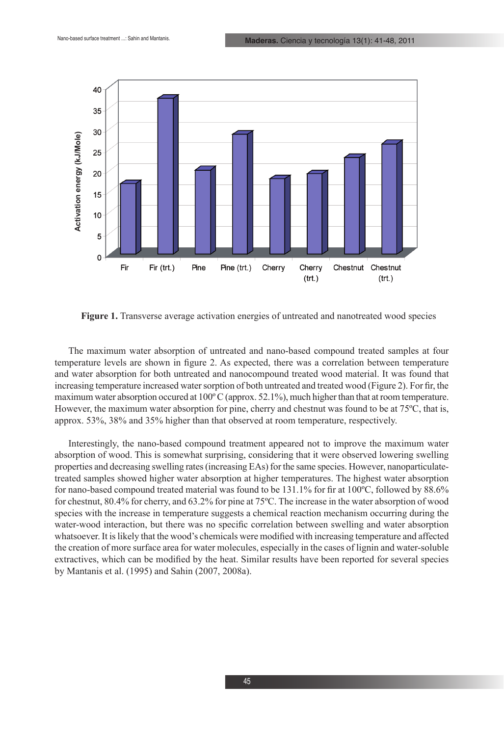

**Figure 1.** Transverse average activation energies of untreated and nanotreated wood species

The maximum water absorption of untreated and nano-based compound treated samples at four temperature levels are shown in figure 2. As expected, there was a correlation between temperature and water absorption for both untreated and nanocompound treated wood material. It was found that increasing temperature increased water sorption of both untreated and treated wood (Figure 2). For fir, the maximum water absorption occured at 100º C (approx. 52.1%), much higher than that at room temperature. However, the maximum water absorption for pine, cherry and chestnut was found to be at 75ºC, that is, approx. 53%, 38% and 35% higher than that observed at room temperature, respectively.

Interestingly, the nano-based compound treatment appeared not to improve the maximum water absorption of wood. This is somewhat surprising, considering that it were observed lowering swelling properties and decreasing swelling rates (increasing EAs) for the same species. However, nanoparticulatetreated samples showed higher water absorption at higher temperatures. The highest water absorption for nano-based compound treated material was found to be 131.1% for fir at 100ºC, followed by 88.6% for chestnut, 80.4% for cherry, and 63.2% for pine at 75ºC. The increase in the water absorption of wood species with the increase in temperature suggests a chemical reaction mechanism occurring during the water-wood interaction, but there was no specific correlation between swelling and water absorption whatsoever. It is likely that the wood's chemicals were modified with increasing temperature and affected the creation of more surface area for water molecules, especially in the cases of lignin and water-soluble extractives, which can be modified by the heat. Similar results have been reported for several species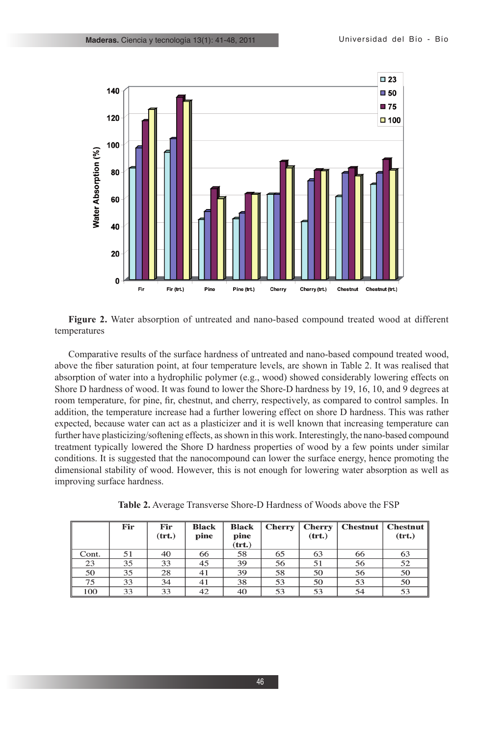

**Figure 2.** Water absorption of untreated and nano-based compound treated wood at different temperatures

Comparative results of the surface hardness of untreated and nano-based compound treated wood, above the fiber saturation point, at four temperature levels, are shown in Table 2. It was realised that absorption of water into a hydrophilic polymer (e.g., wood) showed considerably lowering effects on Shore D hardness of wood. It was found to lower the Shore-D hardness by 19, 16, 10, and 9 degrees at room temperature, for pine, fir, chestnut, and cherry, respectively, as compared to control samples. In addition, the temperature increase had a further lowering effect on shore D hardness. This was rather expected, because water can act as a plasticizer and it is well known that increasing temperature can further have plasticizing/softening effects, as shown in this work. Interestingly, the nano-based compound treatment typically lowered the Shore D hardness properties of wood by a few points under similar conditions. It is suggested that the nanocompound can lower the surface energy, hence promoting the dimensional stability of wood. However, this is not enough for lowering water absorption as well as improving surface hardness.

**Table 2.** Average Transverse Shore-D Hardness of Woods above the FSP

|       | Fir | Fir<br>(trt.) | <b>Black</b><br>pine | <b>Black</b><br>pine<br>$(\mathbf{trt.})$ | <b>Cherry</b> | <b>Cherry</b><br>(trt.) |    | Chestnut   Chestnut  <br>(trt.) |
|-------|-----|---------------|----------------------|-------------------------------------------|---------------|-------------------------|----|---------------------------------|
| Cont. | 51  | 40            | 66                   | 58                                        | 65            | 63                      | 66 | 63                              |
| 23    | 35  | 33            | 45                   | 39                                        | 56            | 51                      | 56 | 52                              |
| 50    | 35  | 28            | 41                   | 39                                        | 58            | 50                      | 56 | 50                              |
| 75    | 33  | 34            | 41                   | 38                                        | 53            | 50                      | 53 | 50                              |
| 100   | 33  | 33            | 42                   | 40                                        | 53            | 53                      | 54 | 53                              |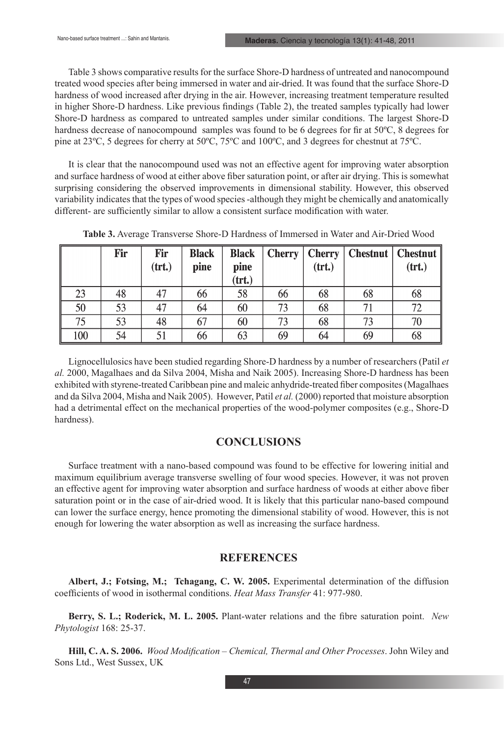Table 3 shows comparative results for the surface Shore-D hardness of untreated and nanocompound treated wood species after being immersed in water and air-dried. It was found that the surface Shore-D hardness of wood increased after drying in the air. However, increasing treatment temperature resulted in higher Shore-D hardness. Like previous findings (Table 2), the treated samples typically had lower Shore-D hardness as compared to untreated samples under similar conditions. The largest Shore-D hardness decrease of nanocompound samples was found to be 6 degrees for fir at 50ºC, 8 degrees for pine at 23ºC, 5 degrees for cherry at 50ºC, 75ºC and 100ºC, and 3 degrees for chestnut at 75ºC.

It is clear that the nanocompound used was not an effective agent for improving water absorption and surface hardness of wood at either above fiber saturation point, or after air drying. This is somewhat surprising considering the observed improvements in dimensional stability. However, this observed variability indicates that the types of wood species -although they might be chemically and anatomically different- are sufficiently similar to allow a consistent surface modification with water.

|     | Fir | Fir<br>(trt.) | <b>Black</b><br>pine | <b>Black</b><br>pine<br>(trt.) | $\left  \right $ Cherry $\left  \right $ | Cherry <sup>1</sup><br>$(\text{trt.})$ | Chestnut   Chestnut | (trt.) |
|-----|-----|---------------|----------------------|--------------------------------|------------------------------------------|----------------------------------------|---------------------|--------|
| 23  | 48  | 47            | 66                   | 58                             | 66                                       | 68                                     | 68                  | 68     |
| 50  | 53  | 47            | 64                   | 60                             | 73                                       | 68                                     | 71                  | 72     |
| 75  | 53  | 48            | 67                   | 60                             | 73                                       | 68                                     | 73                  | 70     |
| 100 | 54  |               | 66                   | 63                             | 69                                       | 64                                     | 69                  | 68     |

**Table 3.** Average Transverse Shore-D Hardness of Immersed in Water and Air-Dried Wood

Lignocellulosics have been studied regarding Shore-D hardness by a number of researchers (Patil *et al.* 2000, Magalhaes and da Silva 2004, Misha and Naik 2005). Increasing Shore-D hardness has been exhibited with styrene-treated Caribbean pine and maleic anhydride-treated fiber composites (Magalhaes and da Silva 2004, Misha and Naik 2005). However, Patil *et al.* (2000) reported that moisture absorption had a detrimental effect on the mechanical properties of the wood-polymer composites (e.g., Shore-D hardness).

#### **CONCLUSIONS**

Surface treatment with a nano-based compound was found to be effective for lowering initial and maximum equilibrium average transverse swelling of four wood species. However, it was not proven an effective agent for improving water absorption and surface hardness of woods at either above fiber saturation point or in the case of air-dried wood. It is likely that this particular nano-based compound can lower the surface energy, hence promoting the dimensional stability of wood. However, this is not enough for lowering the water absorption as well as increasing the surface hardness.

#### **REFERENCES**

**Albert, J.; Fotsing, M.; Tchagang, C. W. 2005.** Experimental determination of the diffusion coefficients of wood in isothermal conditions. *Heat Mass Transfer* 41: 977-980.

**Berry, S. L.; Roderick, M. L. 2005.** Plant-water relations and the fibre saturation point. *New Phytologist* 168: 25-37.

**Hill, C. A. S. 2006.** *Wood Modification* – *Chemical, Thermal and Other Processes*. John Wiley and Sons Ltd., West Sussex, UK